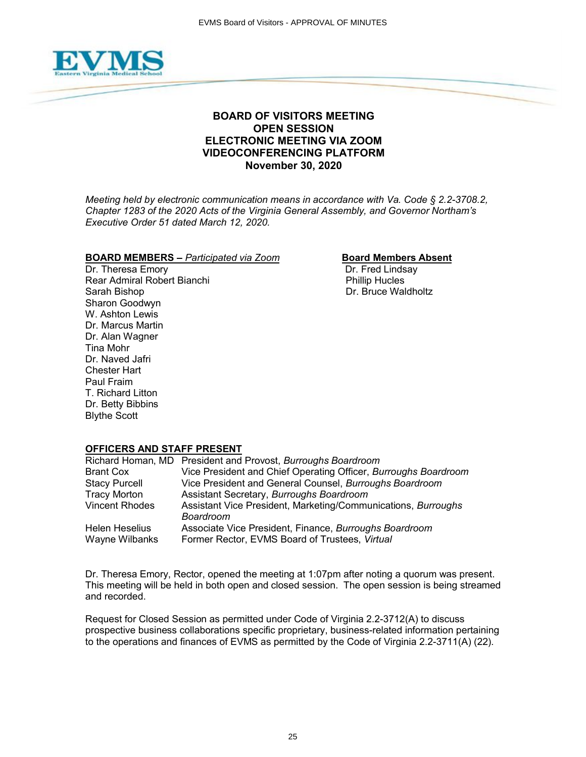

# **BOARD OF VISITORS MEETING OPEN SESSION ELECTRONIC MEETING VIA ZOOM VIDEOCONFERENCING PLATFORM November 30, 2020**

*Meeting held by electronic communication means in accordance with Va. Code § 2.2-3708.2, Chapter 1283 of the 2020 Acts of the Virginia General Assembly, and Governor Northam's Executive Order 51 dated March 12, 2020.*

# **BOARD MEMBERS –** *Participated via Zoom*<br>Dr. Theresa Emory **Board Members Absent**<br>Dr. Fred Lindsay

#### Dr. Theresa Emory Rear Admiral Robert Bianchi **Phillip Hucles** Phillip Hucles Sarah Bishop New York 1999, Sarah Bishop Dr. Bruce Waldholtz Sharon Goodwyn W. Ashton Lewis Dr. Marcus Martin Dr. Alan Wagner Tina Mohr Dr. Naved Jafri Chester Hart Paul Fraim T. Richard Litton Dr. Betty Bibbins Blythe Scott

# **OFFICERS AND STAFF PRESENT**

|                       | Richard Homan, MD President and Provost, Burroughs Boardroom               |
|-----------------------|----------------------------------------------------------------------------|
| <b>Brant Cox</b>      | Vice President and Chief Operating Officer, Burroughs Boardroom            |
| <b>Stacy Purcell</b>  | Vice President and General Counsel, Burroughs Boardroom                    |
| <b>Tracy Morton</b>   | Assistant Secretary, Burroughs Boardroom                                   |
| <b>Vincent Rhodes</b> | Assistant Vice President, Marketing/Communications, Burroughs<br>Boardroom |
| Helen Heselius        | Associate Vice President, Finance, Burroughs Boardroom                     |
| Wayne Wilbanks        | Former Rector, EVMS Board of Trustees, Virtual                             |

Dr. Theresa Emory, Rector, opened the meeting at 1:07pm after noting a quorum was present. This meeting will be held in both open and closed session. The open session is being streamed and recorded.

Request for Closed Session as permitted under Code of Virginia 2.2-3712(A) to discuss prospective business collaborations specific proprietary, business-related information pertaining to the operations and finances of EVMS as permitted by the Code of Virginia 2.2-3711(A) (22).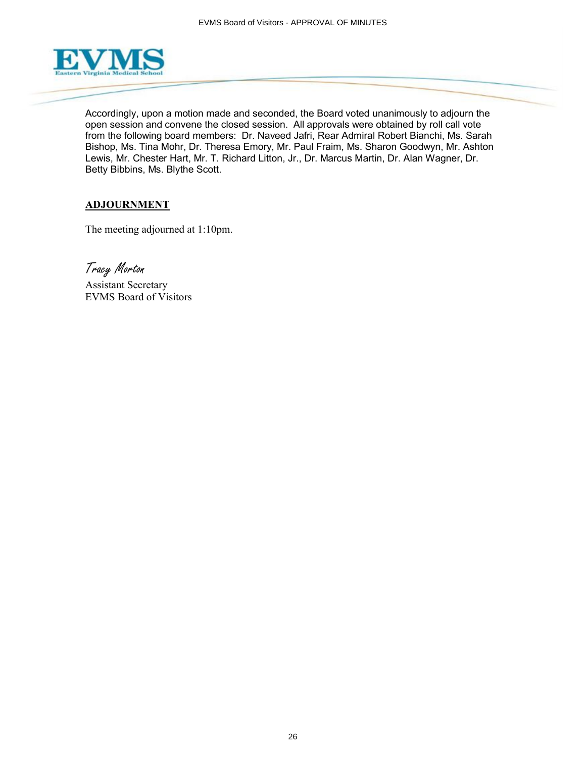

Accordingly, upon a motion made and seconded, the Board voted unanimously to adjourn the open session and convene the closed session. All approvals were obtained by roll call vote from the following board members: Dr. Naveed Jafri, Rear Admiral Robert Bianchi, Ms. Sarah Bishop, Ms. Tina Mohr, Dr. Theresa Emory, Mr. Paul Fraim, Ms. Sharon Goodwyn, Mr. Ashton Lewis, Mr. Chester Hart, Mr. T. Richard Litton, Jr., Dr. Marcus Martin, Dr. Alan Wagner, Dr. Betty Bibbins, Ms. Blythe Scott.

# **ADJOURNMENT**

The meeting adjourned at 1:10pm.

Tracy Morton

Assistant Secretary EVMS Board of Visitors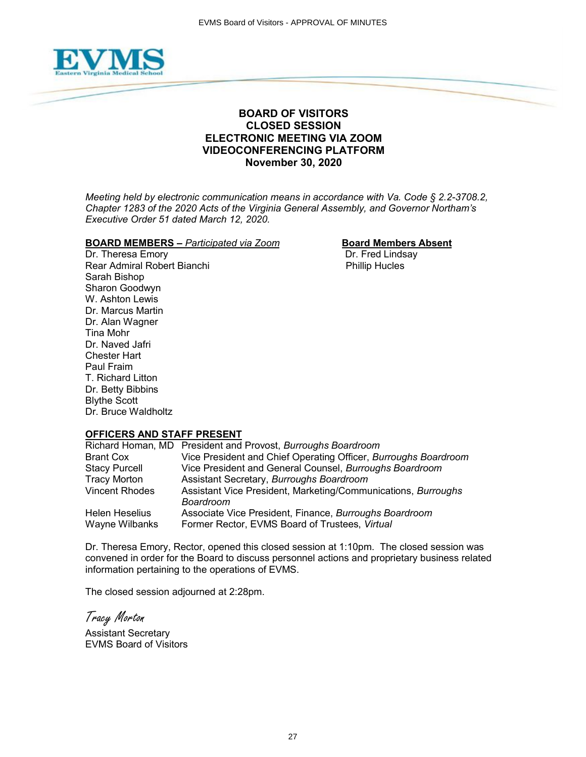

# **BOARD OF VISITORS CLOSED SESSION ELECTRONIC MEETING VIA ZOOM VIDEOCONFERENCING PLATFORM November 30, 2020**

*Meeting held by electronic communication means in accordance with Va. Code § 2.2-3708.2, Chapter 1283 of the 2020 Acts of the Virginia General Assembly, and Governor Northam's Executive Order 51 dated March 12, 2020.*

#### **BOARD MEMBERS** – *Participated via Zoom* **Board Members Absent**

Dr. Theresa Emory **Dr. Fred Lindsay** Rear Admiral Robert Bianchi **Phillip Hucles** Sarah Bishop Sharon Goodwyn W. Ashton Lewis Dr. Marcus Martin Dr. Alan Wagner Tina Mohr Dr. Naved Jafri Chester Hart Paul Fraim T. Richard Litton Dr. Betty Bibbins Blythe Scott Dr. Bruce Waldholtz

#### **OFFICERS AND STAFF PRESENT**

|                       | Richard Homan, MD President and Provost, Burroughs Boardroom    |
|-----------------------|-----------------------------------------------------------------|
| <b>Brant Cox</b>      | Vice President and Chief Operating Officer, Burroughs Boardroom |
| <b>Stacy Purcell</b>  | Vice President and General Counsel, Burroughs Boardroom         |
| <b>Tracy Morton</b>   | Assistant Secretary, Burroughs Boardroom                        |
| <b>Vincent Rhodes</b> | Assistant Vice President, Marketing/Communications, Burroughs   |
|                       | Boardroom                                                       |
| Helen Heselius        | Associate Vice President, Finance, Burroughs Boardroom          |
| Wayne Wilbanks        | Former Rector, EVMS Board of Trustees, Virtual                  |

Dr. Theresa Emory, Rector, opened this closed session at 1:10pm. The closed session was convened in order for the Board to discuss personnel actions and proprietary business related information pertaining to the operations of EVMS.

The closed session adjourned at 2:28pm.

Tracy Morton

Assistant Secretary EVMS Board of Visitors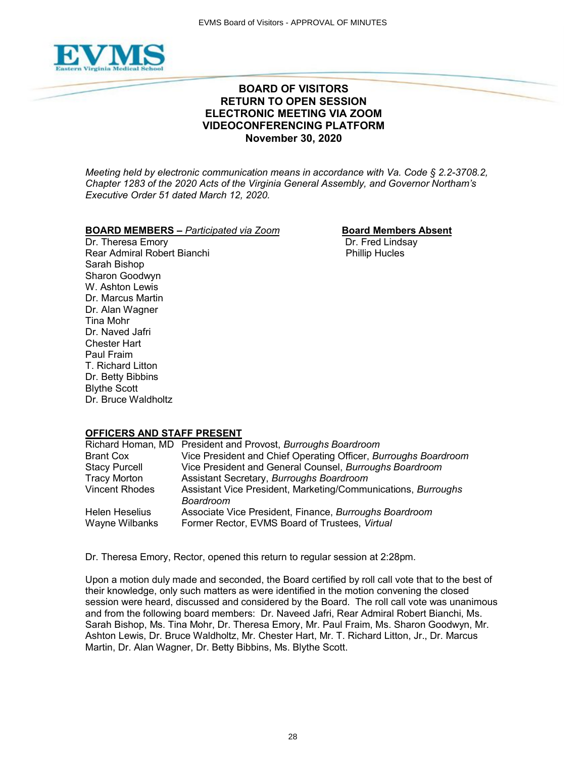

# **BOARD OF VISITORS RETURN TO OPEN SESSION ELECTRONIC MEETING VIA ZOOM VIDEOCONFERENCING PLATFORM November 30, 2020**

*Meeting held by electronic communication means in accordance with Va. Code § 2.2-3708.2, Chapter 1283 of the 2020 Acts of the Virginia General Assembly, and Governor Northam's Executive Order 51 dated March 12, 2020.*

### **BOARD MEMBERS** – *Participated via Zoom* **Board Members Absent**

Dr. Theresa Emory **Dr. Fred Lindsay** Rear Admiral Robert Bianchi **Phillip Hucles** Sarah Bishop Sharon Goodwyn W. Ashton Lewis Dr. Marcus Martin Dr. Alan Wagner Tina Mohr Dr. Naved Jafri Chester Hart Paul Fraim T. Richard Litton Dr. Betty Bibbins Blythe Scott Dr. Bruce Waldholtz

# **OFFICERS AND STAFF PRESENT**

|                                  | Richard Homan, MD President and Provost, Burroughs Boardroom                                             |
|----------------------------------|----------------------------------------------------------------------------------------------------------|
| <b>Brant Cox</b>                 | Vice President and Chief Operating Officer, Burroughs Boardroom                                          |
| <b>Stacy Purcell</b>             | Vice President and General Counsel, Burroughs Boardroom                                                  |
| <b>Tracy Morton</b>              | Assistant Secretary, Burroughs Boardroom                                                                 |
| <b>Vincent Rhodes</b>            | Assistant Vice President, Marketing/Communications, Burroughs<br>Boardroom                               |
| Helen Heselius<br>Wayne Wilbanks | Associate Vice President, Finance, Burroughs Boardroom<br>Former Rector, EVMS Board of Trustees, Virtual |

Dr. Theresa Emory, Rector, opened this return to regular session at 2:28pm.

Upon a motion duly made and seconded, the Board certified by roll call vote that to the best of their knowledge, only such matters as were identified in the motion convening the closed session were heard, discussed and considered by the Board. The roll call vote was unanimous and from the following board members: Dr. Naveed Jafri, Rear Admiral Robert Bianchi, Ms. Sarah Bishop, Ms. Tina Mohr, Dr. Theresa Emory, Mr. Paul Fraim, Ms. Sharon Goodwyn, Mr. Ashton Lewis, Dr. Bruce Waldholtz, Mr. Chester Hart, Mr. T. Richard Litton, Jr., Dr. Marcus Martin, Dr. Alan Wagner, Dr. Betty Bibbins, Ms. Blythe Scott.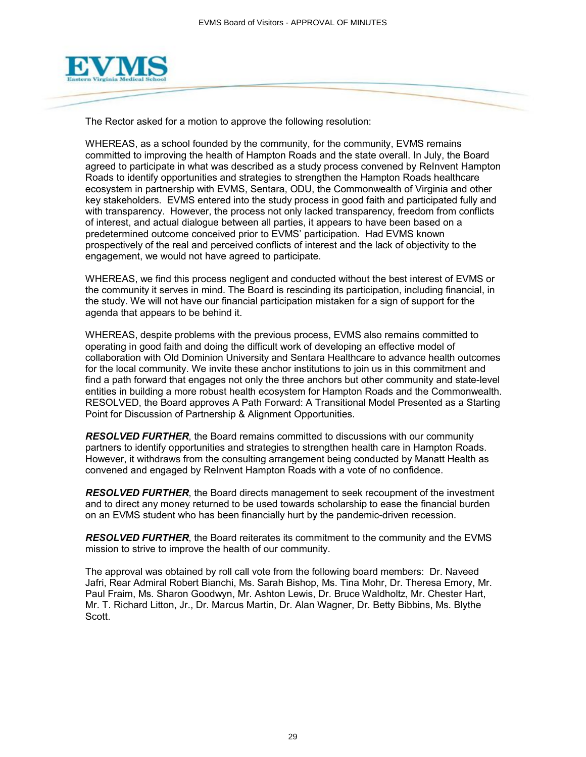

The Rector asked for a motion to approve the following resolution:

WHEREAS, as a school founded by the community, for the community, EVMS remains committed to improving the health of Hampton Roads and the state overall. In July, the Board agreed to participate in what was described as a study process convened by ReInvent Hampton Roads to identify opportunities and strategies to strengthen the Hampton Roads healthcare ecosystem in partnership with EVMS, Sentara, ODU, the Commonwealth of Virginia and other key stakeholders. EVMS entered into the study process in good faith and participated fully and with transparency. However, the process not only lacked transparency, freedom from conflicts of interest, and actual dialogue between all parties, it appears to have been based on a predetermined outcome conceived prior to EVMS' participation. Had EVMS known prospectively of the real and perceived conflicts of interest and the lack of objectivity to the engagement, we would not have agreed to participate.

WHEREAS, we find this process negligent and conducted without the best interest of EVMS or the community it serves in mind. The Board is rescinding its participation, including financial, in the study. We will not have our financial participation mistaken for a sign of support for the agenda that appears to be behind it.

WHEREAS, despite problems with the previous process, EVMS also remains committed to operating in good faith and doing the difficult work of developing an effective model of collaboration with Old Dominion University and Sentara Healthcare to advance health outcomes for the local community. We invite these anchor institutions to join us in this commitment and find a path forward that engages not only the three anchors but other community and state-level entities in building a more robust health ecosystem for Hampton Roads and the Commonwealth. RESOLVED, the Board approves A Path Forward: A Transitional Model Presented as a Starting Point for Discussion of Partnership & Alignment Opportunities.

*RESOLVED FURTHER*, the Board remains committed to discussions with our community partners to identify opportunities and strategies to strengthen health care in Hampton Roads. However, it withdraws from the consulting arrangement being conducted by Manatt Health as convened and engaged by ReInvent Hampton Roads with a vote of no confidence.

*RESOLVED FURTHER*, the Board directs management to seek recoupment of the investment and to direct any money returned to be used towards scholarship to ease the financial burden on an EVMS student who has been financially hurt by the pandemic-driven recession.

*RESOLVED FURTHER*, the Board reiterates its commitment to the community and the EVMS mission to strive to improve the health of our community.

The approval was obtained by roll call vote from the following board members: Dr. Naveed Jafri, Rear Admiral Robert Bianchi, Ms. Sarah Bishop, Ms. Tina Mohr, Dr. Theresa Emory, Mr. Paul Fraim, Ms. Sharon Goodwyn, Mr. Ashton Lewis, Dr. Bruce Waldholtz, Mr. Chester Hart, Mr. T. Richard Litton, Jr., Dr. Marcus Martin, Dr. Alan Wagner, Dr. Betty Bibbins, Ms. Blythe Scott.